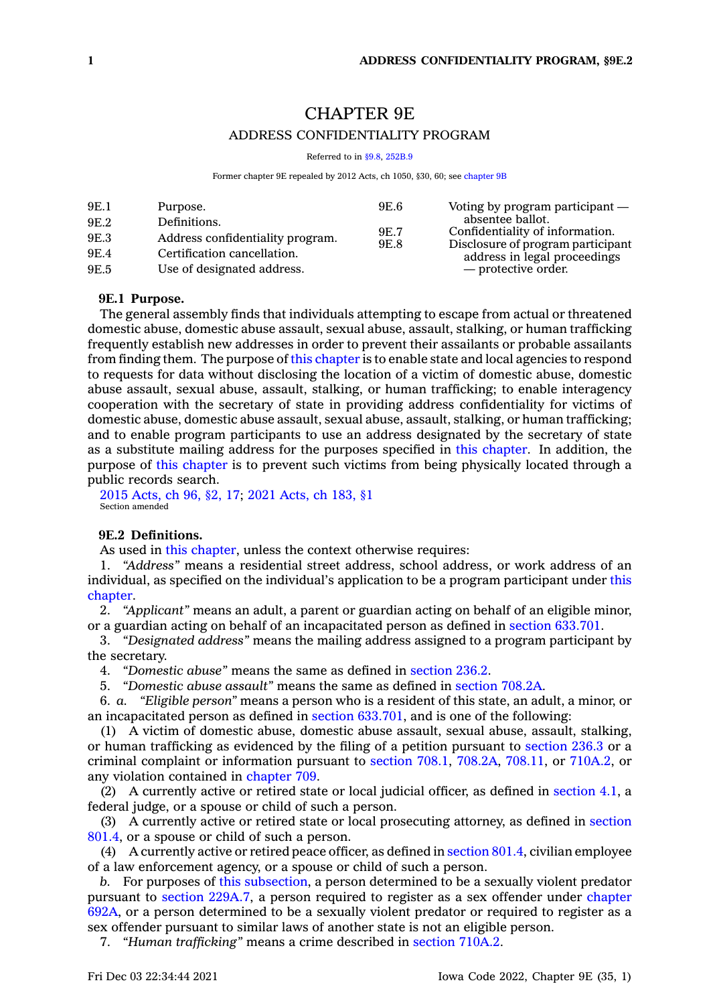# CHAPTER 9E

# ADDRESS CONFIDENTIALITY PROGRAM

Referred to in [§9.8,](https://www.legis.iowa.gov/docs/code/9.8.pdf) [252B.9](https://www.legis.iowa.gov/docs/code/252B.9.pdf)

Former chapter 9E repealed by 2012 Acts, ch 1050, §30, 60; see [chapter](https://www.legis.iowa.gov/docs/code//9B.pdf) 9B

| 9E.1<br>9E.6<br>Purpose.<br>9E.2<br>Definitions.<br>9E.7<br>Address confidentiality program.<br>9E.3<br>9E.8<br>9E.4<br>Certification cancellation.<br>Use of designated address.<br>9E.5 | Voting by program participant $-$<br>absentee ballot.<br>Confidentiality of information.<br>Disclosure of program participant<br>address in legal proceedings<br>— protective order. |
|-------------------------------------------------------------------------------------------------------------------------------------------------------------------------------------------|--------------------------------------------------------------------------------------------------------------------------------------------------------------------------------------|
|                                                                                                                                                                                           |                                                                                                                                                                                      |

#### **9E.1 Purpose.**

The general assembly finds that individuals attempting to escape from actual or threatened domestic abuse, domestic abuse assault, sexual abuse, assault, stalking, or human trafficking frequently establish new addresses in order to prevent their assailants or probable assailants from finding them. The purpose of this [chapter](https://www.legis.iowa.gov/docs/code//9E.pdf) is to enable state and local agencies to respond to requests for data without disclosing the location of <sup>a</sup> victim of domestic abuse, domestic abuse assault, sexual abuse, assault, stalking, or human trafficking; to enable interagency cooperation with the secretary of state in providing address confidentiality for victims of domestic abuse, domestic abuse assault, sexual abuse, assault, stalking, or human trafficking; and to enable program participants to use an address designated by the secretary of state as <sup>a</sup> substitute mailing address for the purposes specified in this [chapter](https://www.legis.iowa.gov/docs/code//9E.pdf). In addition, the purpose of this [chapter](https://www.legis.iowa.gov/docs/code//9E.pdf) is to prevent such victims from being physically located through <sup>a</sup> public records search.

2015 [Acts,](https://www.legis.iowa.gov/docs/acts/2015/CH0096.pdf) ch 96, §2, 17; 2021 [Acts,](https://www.legis.iowa.gov/docs/acts/2021/CH0183.pdf) ch 183, §1 Section amended

### **9E.2 Definitions.**

As used in this [chapter](https://www.legis.iowa.gov/docs/code//9E.pdf), unless the context otherwise requires:

1. *"Address"* means <sup>a</sup> residential street address, school address, or work address of an individual, as specified on the individual's application to be <sup>a</sup> program participant under [this](https://www.legis.iowa.gov/docs/code//9E.pdf) [chapter](https://www.legis.iowa.gov/docs/code//9E.pdf).

2. *"Applicant"* means an adult, <sup>a</sup> parent or guardian acting on behalf of an eligible minor, or <sup>a</sup> guardian acting on behalf of an incapacitated person as defined in section [633.701](https://www.legis.iowa.gov/docs/code/633.701.pdf).

3. *"Designated address"* means the mailing address assigned to <sup>a</sup> program participant by the secretary.

4. *"Domestic abuse"* means the same as defined in [section](https://www.legis.iowa.gov/docs/code/236.2.pdf) 236.2.

5. *"Domestic abuse assault"* means the same as defined in [section](https://www.legis.iowa.gov/docs/code/708.2A.pdf) 708.2A.

6. *a. "Eligible person"* means <sup>a</sup> person who is <sup>a</sup> resident of this state, an adult, <sup>a</sup> minor, or an incapacitated person as defined in section [633.701](https://www.legis.iowa.gov/docs/code/633.701.pdf), and is one of the following:

(1) A victim of domestic abuse, domestic abuse assault, sexual abuse, assault, stalking, or human trafficking as evidenced by the filing of <sup>a</sup> petition pursuant to [section](https://www.legis.iowa.gov/docs/code/236.3.pdf) 236.3 or <sup>a</sup> criminal complaint or information pursuant to [section](https://www.legis.iowa.gov/docs/code/708.1.pdf) 708.1, [708.2A](https://www.legis.iowa.gov/docs/code/708.2A.pdf), [708.11](https://www.legis.iowa.gov/docs/code/708.11.pdf), or [710A.2](https://www.legis.iowa.gov/docs/code/710A.2.pdf), or any violation contained in [chapter](https://www.legis.iowa.gov/docs/code//709.pdf) 709.

(2) A currently active or retired state or local judicial officer, as defined in [section](https://www.legis.iowa.gov/docs/code/4.1.pdf) 4.1, <sup>a</sup> federal judge, or <sup>a</sup> spouse or child of such <sup>a</sup> person.

(3) A currently active or retired state or local prosecuting attorney, as defined in [section](https://www.legis.iowa.gov/docs/code/801.4.pdf) [801.4](https://www.legis.iowa.gov/docs/code/801.4.pdf), or <sup>a</sup> spouse or child of such <sup>a</sup> person.

(4) A currently active or retired peace officer, as defined in [section](https://www.legis.iowa.gov/docs/code/801.4.pdf) 801.4, civilian employee of <sup>a</sup> law enforcement agency, or <sup>a</sup> spouse or child of such <sup>a</sup> person.

*b.* For purposes of this [subsection](https://www.legis.iowa.gov/docs/code/9E.2.pdf), <sup>a</sup> person determined to be <sup>a</sup> sexually violent predator pursuant to section [229A.7](https://www.legis.iowa.gov/docs/code/229A.7.pdf), <sup>a</sup> person required to register as <sup>a</sup> sex offender under [chapter](https://www.legis.iowa.gov/docs/code//692A.pdf) [692A](https://www.legis.iowa.gov/docs/code//692A.pdf), or <sup>a</sup> person determined to be <sup>a</sup> sexually violent predator or required to register as <sup>a</sup> sex offender pursuant to similar laws of another state is not an eligible person.

7. *"Human trafficking"* means <sup>a</sup> crime described in [section](https://www.legis.iowa.gov/docs/code/710A.2.pdf) 710A.2.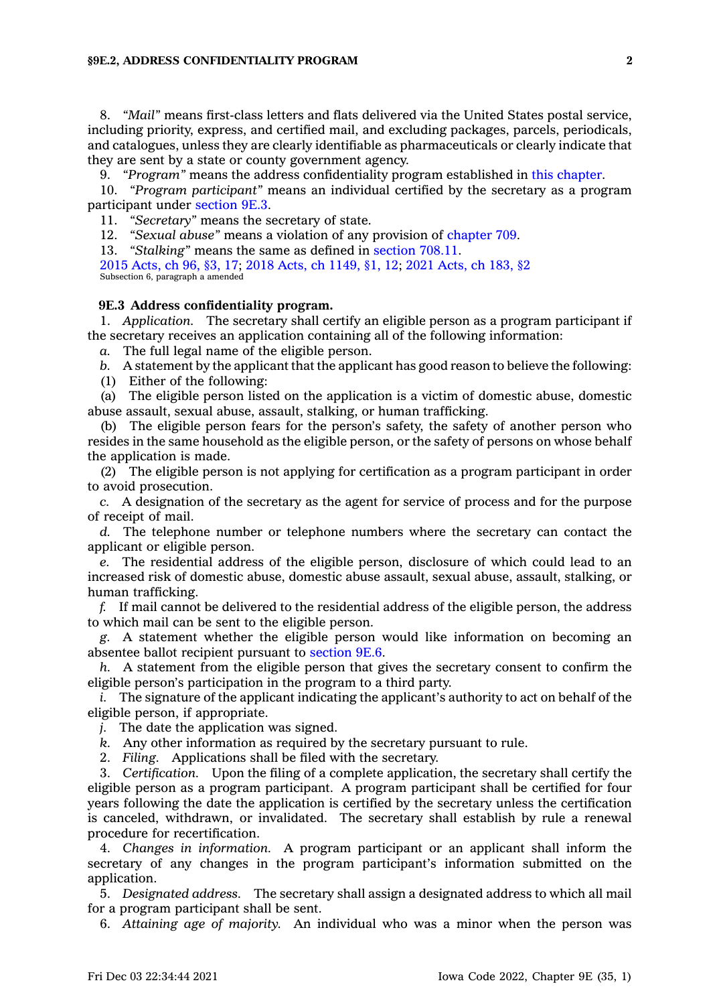#### **§9E.2, ADDRESS CONFIDENTIALITY PROGRAM 2**

8. *"Mail"* means first-class letters and flats delivered via the United States postal service, including priority, express, and certified mail, and excluding packages, parcels, periodicals, and catalogues, unless they are clearly identifiable as pharmaceuticals or clearly indicate that they are sent by <sup>a</sup> state or county government agency.

9. *"Program"* means the address confidentiality program established in this [chapter](https://www.legis.iowa.gov/docs/code//9E.pdf).

10. *"Program participant"* means an individual certified by the secretary as <sup>a</sup> program participant under [section](https://www.legis.iowa.gov/docs/code/9E.3.pdf) 9E.3.

11. *"Secretary"* means the secretary of state.

12. *"Sexual abuse"* means <sup>a</sup> violation of any provision of [chapter](https://www.legis.iowa.gov/docs/code//709.pdf) 709.

13. *"Stalking"* means the same as defined in [section](https://www.legis.iowa.gov/docs/code/708.11.pdf) 708.11.

2015 [Acts,](https://www.legis.iowa.gov/docs/acts/2015/CH0096.pdf) ch 96, §3, 17; 2018 Acts, ch [1149,](https://www.legis.iowa.gov/docs/acts/2018/CH1149.pdf) §1, 12; 2021 [Acts,](https://www.legis.iowa.gov/docs/acts/2021/CH0183.pdf) ch 183, §2 Subsection 6, paragraph <sup>a</sup> amended

#### **9E.3 Address confidentiality program.**

1. *Application.* The secretary shall certify an eligible person as <sup>a</sup> program participant if the secretary receives an application containing all of the following information:

*a.* The full legal name of the eligible person.

*b.* A statement by the applicant that the applicant has good reason to believe the following:

(1) Either of the following:

(a) The eligible person listed on the application is <sup>a</sup> victim of domestic abuse, domestic abuse assault, sexual abuse, assault, stalking, or human trafficking.

(b) The eligible person fears for the person's safety, the safety of another person who resides in the same household as the eligible person, or the safety of persons on whose behalf the application is made.

(2) The eligible person is not applying for certification as <sup>a</sup> program participant in order to avoid prosecution.

*c.* A designation of the secretary as the agent for service of process and for the purpose of receipt of mail.

*d.* The telephone number or telephone numbers where the secretary can contact the applicant or eligible person.

*e.* The residential address of the eligible person, disclosure of which could lead to an increased risk of domestic abuse, domestic abuse assault, sexual abuse, assault, stalking, or human trafficking.

*f.* If mail cannot be delivered to the residential address of the eligible person, the address to which mail can be sent to the eligible person.

*g.* A statement whether the eligible person would like information on becoming an absentee ballot recipient pursuant to [section](https://www.legis.iowa.gov/docs/code/9E.6.pdf) 9E.6.

*h.* A statement from the eligible person that gives the secretary consent to confirm the eligible person's participation in the program to <sup>a</sup> third party.

*i.* The signature of the applicant indicating the applicant's authority to act on behalf of the eligible person, if appropriate.

*j.* The date the application was signed.

*k.* Any other information as required by the secretary pursuant to rule.

2. *Filing.* Applications shall be filed with the secretary.

3. *Certification.* Upon the filing of <sup>a</sup> complete application, the secretary shall certify the eligible person as <sup>a</sup> program participant. A program participant shall be certified for four years following the date the application is certified by the secretary unless the certification is canceled, withdrawn, or invalidated. The secretary shall establish by rule <sup>a</sup> renewal procedure for recertification.

4. *Changes in information.* A program participant or an applicant shall inform the secretary of any changes in the program participant's information submitted on the application.

5. *Designated address.* The secretary shall assign <sup>a</sup> designated address to which all mail for <sup>a</sup> program participant shall be sent.

6. *Attaining age of majority.* An individual who was <sup>a</sup> minor when the person was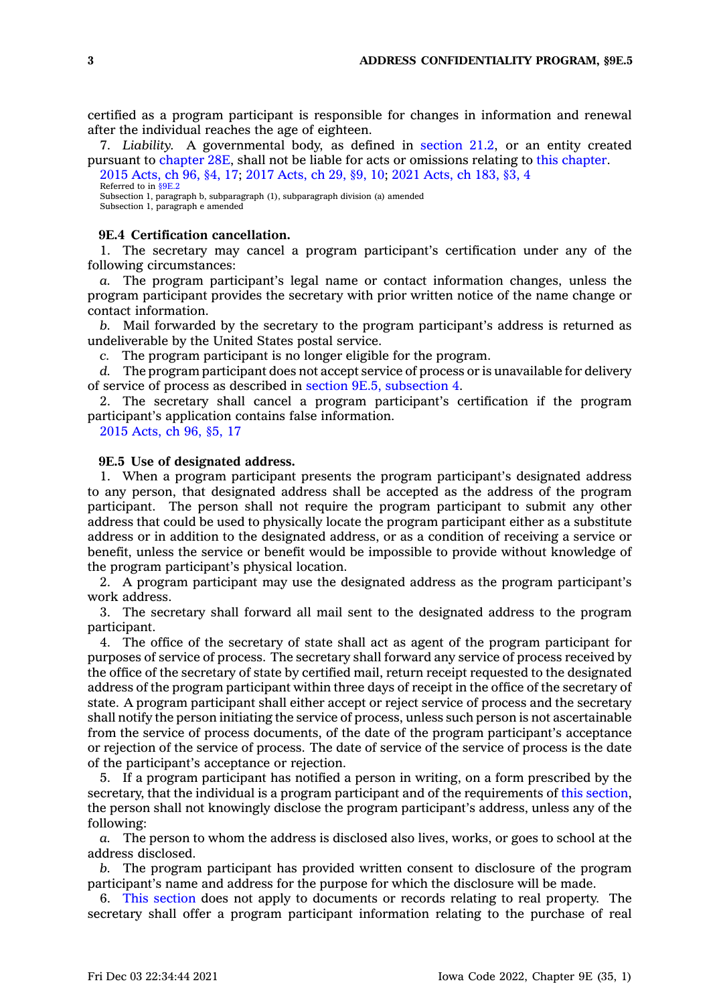certified as <sup>a</sup> program participant is responsible for changes in information and renewal after the individual reaches the age of eighteen.

7. *Liability.* A governmental body, as defined in [section](https://www.legis.iowa.gov/docs/code/21.2.pdf) 21.2, or an entity created pursuant to [chapter](https://www.legis.iowa.gov/docs/code//28E.pdf) 28E, shall not be liable for acts or omissions relating to this [chapter](https://www.legis.iowa.gov/docs/code//9E.pdf). 2015 [Acts,](https://www.legis.iowa.gov/docs/acts/2015/CH0096.pdf) ch 96, §4, 17; 2017 [Acts,](https://www.legis.iowa.gov/docs/acts/2017/CH0029.pdf) ch 29, §9, 10; 2021 [Acts,](https://www.legis.iowa.gov/docs/acts/2021/CH0183.pdf) ch 183, §3, 4

Referred to in [§9E.2](https://www.legis.iowa.gov/docs/code/9E.2.pdf) Subsection 1, paragraph b, subparagraph (1), subparagraph division (a) amended Subsection 1, paragraph <sup>e</sup> amended

#### **9E.4 Certification cancellation.**

1. The secretary may cancel <sup>a</sup> program participant's certification under any of the following circumstances:

*a.* The program participant's legal name or contact information changes, unless the program participant provides the secretary with prior written notice of the name change or contact information.

*b.* Mail forwarded by the secretary to the program participant's address is returned as undeliverable by the United States postal service.

*c.* The program participant is no longer eligible for the program.

*d.* The program participant does not accept service of process or is unavailable for delivery of service of process as described in section 9E.5, [subsection](https://www.legis.iowa.gov/docs/code/9E.5.pdf) 4.

2. The secretary shall cancel <sup>a</sup> program participant's certification if the program participant's application contains false information.

2015 [Acts,](https://www.legis.iowa.gov/docs/acts/2015/CH0096.pdf) ch 96, §5, 17

## **9E.5 Use of designated address.**

1. When <sup>a</sup> program participant presents the program participant's designated address to any person, that designated address shall be accepted as the address of the program participant. The person shall not require the program participant to submit any other address that could be used to physically locate the program participant either as <sup>a</sup> substitute address or in addition to the designated address, or as <sup>a</sup> condition of receiving <sup>a</sup> service or benefit, unless the service or benefit would be impossible to provide without knowledge of the program participant's physical location.

2. A program participant may use the designated address as the program participant's work address.

3. The secretary shall forward all mail sent to the designated address to the program participant.

4. The office of the secretary of state shall act as agent of the program participant for purposes of service of process. The secretary shall forward any service of process received by the office of the secretary of state by certified mail, return receipt requested to the designated address of the program participant within three days of receipt in the office of the secretary of state. A program participant shall either accept or reject service of process and the secretary shall notify the person initiating the service of process, unless such person is not ascertainable from the service of process documents, of the date of the program participant's acceptance or rejection of the service of process. The date of service of the service of process is the date of the participant's acceptance or rejection.

5. If <sup>a</sup> program participant has notified <sup>a</sup> person in writing, on <sup>a</sup> form prescribed by the secretary, that the individual is <sup>a</sup> program participant and of the requirements of this [section](https://www.legis.iowa.gov/docs/code/9E.5.pdf), the person shall not knowingly disclose the program participant's address, unless any of the following:

*a.* The person to whom the address is disclosed also lives, works, or goes to school at the address disclosed.

*b.* The program participant has provided written consent to disclosure of the program participant's name and address for the purpose for which the disclosure will be made.

6. This [section](https://www.legis.iowa.gov/docs/code/9E.5.pdf) does not apply to documents or records relating to real property. The secretary shall offer <sup>a</sup> program participant information relating to the purchase of real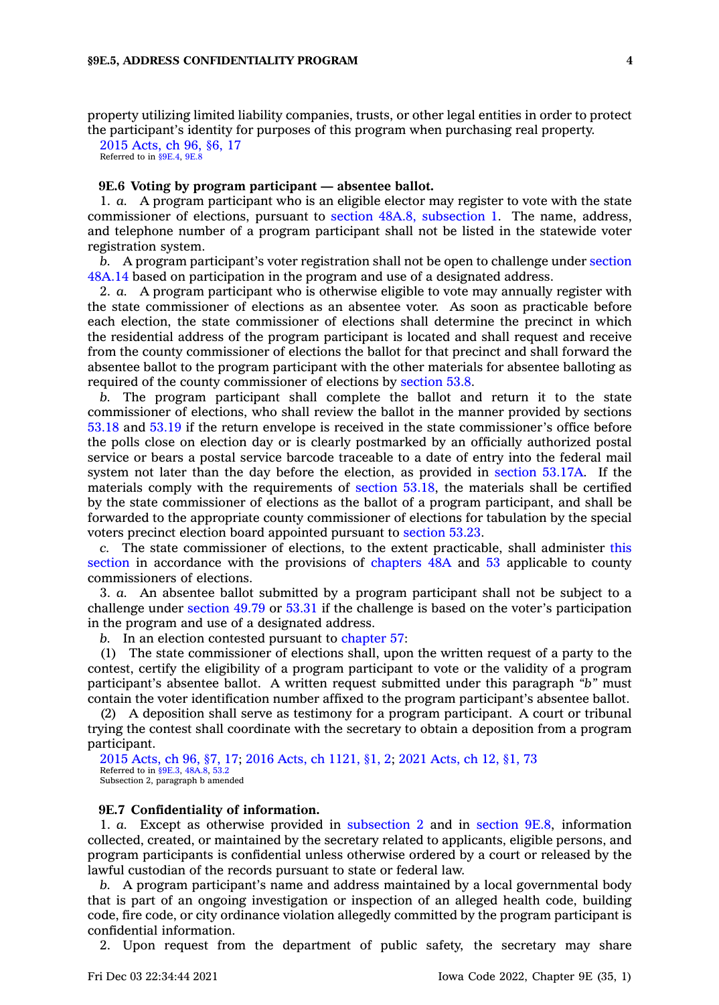property utilizing limited liability companies, trusts, or other legal entities in order to protect the participant's identity for purposes of this program when purchasing real property.

2015 [Acts,](https://www.legis.iowa.gov/docs/acts/2015/CH0096.pdf) ch 96, §6, 17 Referred to in [§9E.4](https://www.legis.iowa.gov/docs/code/9E.4.pdf), [9E.8](https://www.legis.iowa.gov/docs/code/9E.8.pdf)

# **9E.6 Voting by program participant —absentee ballot.**

1. *a.* A program participant who is an eligible elector may register to vote with the state commissioner of elections, pursuant to section 48A.8, [subsection](https://www.legis.iowa.gov/docs/code/48A.8.pdf) 1. The name, address, and telephone number of <sup>a</sup> program participant shall not be listed in the statewide voter registration system.

*b.* A program participant's voter registration shall not be open to challenge under [section](https://www.legis.iowa.gov/docs/code/48A.14.pdf) [48A.14](https://www.legis.iowa.gov/docs/code/48A.14.pdf) based on participation in the program and use of <sup>a</sup> designated address.

2. *a.* A program participant who is otherwise eligible to vote may annually register with the state commissioner of elections as an absentee voter. As soon as practicable before each election, the state commissioner of elections shall determine the precinct in which the residential address of the program participant is located and shall request and receive from the county commissioner of elections the ballot for that precinct and shall forward the absentee ballot to the program participant with the other materials for absentee balloting as required of the county commissioner of elections by [section](https://www.legis.iowa.gov/docs/code/53.8.pdf) 53.8.

*b.* The program participant shall complete the ballot and return it to the state commissioner of elections, who shall review the ballot in the manner provided by sections [53.18](https://www.legis.iowa.gov/docs/code/53.18.pdf) and [53.19](https://www.legis.iowa.gov/docs/code/53.19.pdf) if the return envelope is received in the state commissioner's office before the polls close on election day or is clearly postmarked by an officially authorized postal service or bears <sup>a</sup> postal service barcode traceable to <sup>a</sup> date of entry into the federal mail system not later than the day before the election, as provided in [section](https://www.legis.iowa.gov/docs/code/53.17A.pdf) 53.17A. If the materials comply with the requirements of [section](https://www.legis.iowa.gov/docs/code/53.18.pdf) 53.18, the materials shall be certified by the state commissioner of elections as the ballot of <sup>a</sup> program participant, and shall be forwarded to the appropriate county commissioner of elections for tabulation by the special voters precinct election board appointed pursuant to [section](https://www.legis.iowa.gov/docs/code/53.23.pdf) 53.23.

*c.* The state commissioner of elections, to the extent practicable, shall administer [this](https://www.legis.iowa.gov/docs/code/9E.6.pdf) [section](https://www.legis.iowa.gov/docs/code/9E.6.pdf) in accordance with the provisions of [chapters](https://www.legis.iowa.gov/docs/code//48A.pdf) 48A and [53](https://www.legis.iowa.gov/docs/code//53.pdf) applicable to county commissioners of elections.

3. *a.* An absentee ballot submitted by <sup>a</sup> program participant shall not be subject to <sup>a</sup> challenge under [section](https://www.legis.iowa.gov/docs/code/49.79.pdf) 49.79 or [53.31](https://www.legis.iowa.gov/docs/code/53.31.pdf) if the challenge is based on the voter's participation in the program and use of <sup>a</sup> designated address.

*b.* In an election contested pursuant to [chapter](https://www.legis.iowa.gov/docs/code//57.pdf) 57:

(1) The state commissioner of elections shall, upon the written request of <sup>a</sup> party to the contest, certify the eligibility of <sup>a</sup> program participant to vote or the validity of <sup>a</sup> program participant's absentee ballot. A written request submitted under this paragraph *"b"* must contain the voter identification number affixed to the program participant's absentee ballot.

(2) A deposition shall serve as testimony for <sup>a</sup> program participant. A court or tribunal trying the contest shall coordinate with the secretary to obtain <sup>a</sup> deposition from <sup>a</sup> program participant.

2015 [Acts,](https://www.legis.iowa.gov/docs/acts/2015/CH0096.pdf) ch 96, §7, 17; 2016 Acts, ch [1121,](https://www.legis.iowa.gov/docs/acts/2016/CH1121.pdf) §1, 2; 2021 [Acts,](https://www.legis.iowa.gov/docs/acts/2021/CH0012.pdf) ch 12, §1, 73 Referred to in [§9E.3,](https://www.legis.iowa.gov/docs/code/9E.3.pdf) [48A.8](https://www.legis.iowa.gov/docs/code/48A.8.pdf), [53.2](https://www.legis.iowa.gov/docs/code/53.2.pdf) Subsection 2, paragraph b amended

#### **9E.7 Confidentiality of information.**

1. *a.* Except as otherwise provided in [subsection](https://www.legis.iowa.gov/docs/code/9E.7.pdf) 2 and in [section](https://www.legis.iowa.gov/docs/code/9E.8.pdf) 9E.8, information collected, created, or maintained by the secretary related to applicants, eligible persons, and program participants is confidential unless otherwise ordered by <sup>a</sup> court or released by the lawful custodian of the records pursuant to state or federal law.

*b.* A program participant's name and address maintained by <sup>a</sup> local governmental body that is part of an ongoing investigation or inspection of an alleged health code, building code, fire code, or city ordinance violation allegedly committed by the program participant is confidential information.

2. Upon request from the department of public safety, the secretary may share